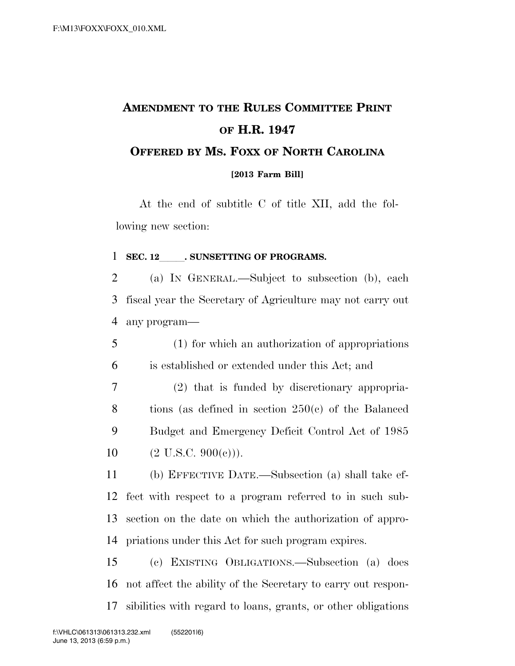## **AMENDMENT TO THE RULES COMMITTEE PRINT OF H.R. 1947 OFFERED BY MS. FOXX OF NORTH CAROLINA**

**[2013 Farm Bill]**

At the end of subtitle C of title XII, add the following new section:

## **SEC. 12 . SUNSETTING OF PROGRAMS.**

 (a) IN GENERAL.—Subject to subsection (b), each fiscal year the Secretary of Agriculture may not carry out any program—

 (1) for which an authorization of appropriations is established or extended under this Act; and

 (2) that is funded by discretionary appropria- tions (as defined in section 250(c) of the Balanced Budget and Emergency Deficit Control Act of 1985  $(2 \text{ U.S.C. } 900(\text{e}))).$ 

 (b) EFFECTIVE DATE.—Subsection (a) shall take ef- fect with respect to a program referred to in such sub- section on the date on which the authorization of appro-priations under this Act for such program expires.

 (c) EXISTING OBLIGATIONS.—Subsection (a) does not affect the ability of the Secretary to carry out respon-sibilities with regard to loans, grants, or other obligations